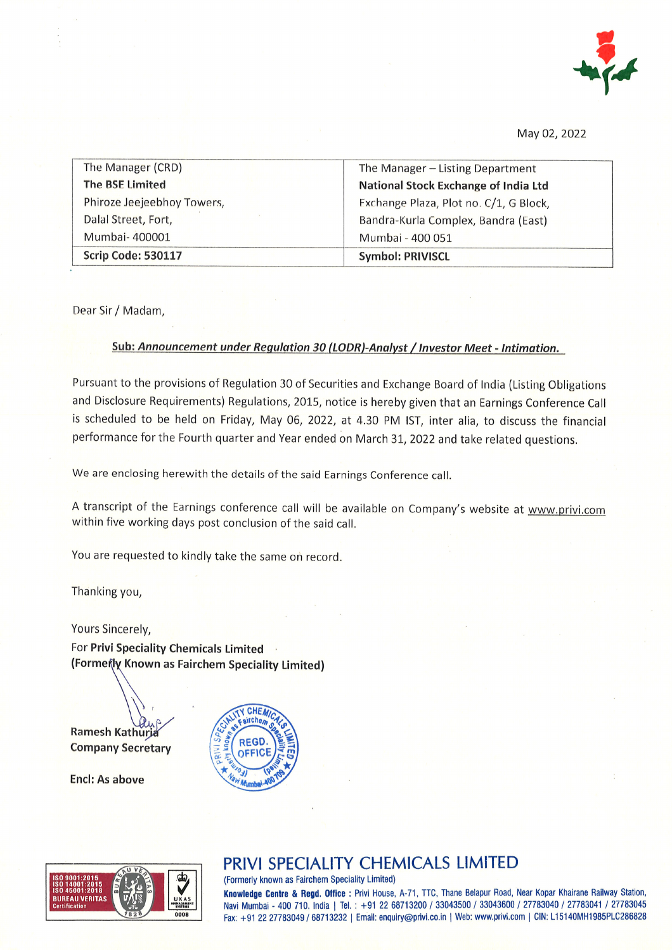

May 02,2Q22

| The Manager (CRD)          | The Manager - Listing Department       |
|----------------------------|----------------------------------------|
| <b>The BSE Limited</b>     | National Stock Exchange of India Ltd   |
| Phiroze Jeejeebhoy Towers, | Exchange Plaza, Plot no. C/1, G Block, |
| Dalal Street, Fort,        | Bandra-Kurla Complex, Bandra (East)    |
| Mumbai-400001              | Mumbai - 400 051                       |
| Scrip Code: 530117         | <b>Symbol: PRIVISCL</b>                |

Dear Sir / Madam,

#### Sub: Announcement under Regulation 30 (LODR)-Analyst / Investor Meet - Intimation.

Pursuant to the provisions of Regulation 30 of Securities and Exchange Board of India (Listing Obligations and Disclosure Requirements) Regulations, 2015, notice is hereby given that an Earnings Conference Call is scheduled to be held on Friday, May 06, 2022, at 4.30 PM lST, inter alia, to discuss the financial performance for the Fourth quarter and Year ended on March 3I,2022 and take related questions,

we are enclosing herewith the details of the said Earnings conference call.

A transcript of the Earnings conference call will be available on Company's website at www.privi.com within five working days post conclusion of the said call.

You are requested to kindly take the same on record.

Thanking you,

Yours Sincerely,

For Privi Speciality Chemicals Limited (Formenty Known as Fairchem Speciality Limited)

**Ramesh Kathuri** Company Secretary

Encl: As above





## PRIVI SPECIALITY CHEMICALS LIMITED

(Formerly known as Fairchem Speciality Limited)

Knowledge Centre & Regd. Office : Privi House, A-71, TTC, Thane Belapur Road, Near Kopar Khairane Railway Station, Navi Mumbai - 400 710. India | Tel.: +91 22 68713200 / 33043500 / 33043600 / 27783040 / 27783041 / 27783045 Fax: +91 22 27783049 / 68713232 | Email: enquiry@privi.co.in | Web: www.privi.com | CIN: L15140MH1985PLC286828